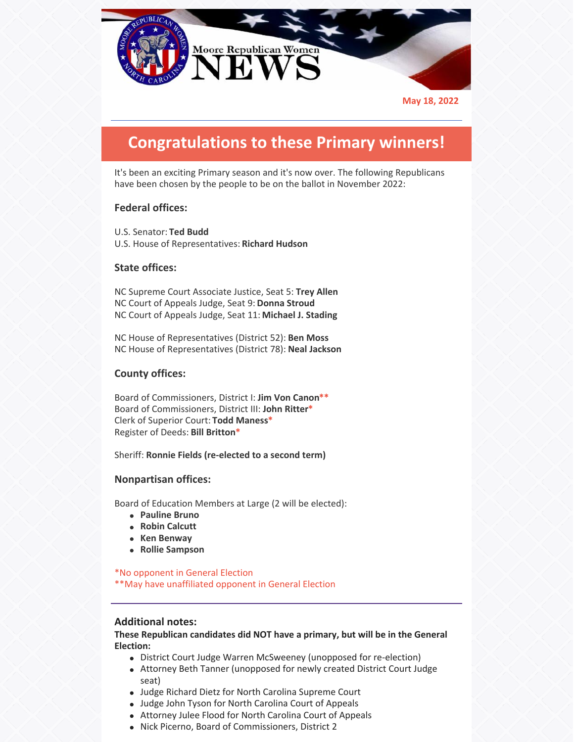

**May 18, 2022**

# **Congratulations to these Primary winners!**

It's been an exciting Primary season and it's now over. The following Republicans have been chosen by the people to be on the ballot in November 2022:

# **Federal offices:**

U.S. Senator: **Ted Budd** U.S. House of Representatives: **Richard Hudson**

# **State offices:**

NC Supreme Court Associate Justice, Seat 5: **Trey Allen** NC Court of Appeals Judge, Seat 9: **Donna Stroud** NC Court of Appeals Judge, Seat 11: **Michael J. Stading**

NC House of Representatives (District 52): **Ben Moss** NC House of Representatives (District 78): **Neal Jackson**

### **County offices:**

Board of Commissioners, District I: **Jim Von Canon\*\*** Board of Commissioners, District III: **John Ritter\*** Clerk of Superior Court: **Todd Maness\*** Register of Deeds: **Bill Britton\***

Sheriff: **Ronnie Fields (re-elected to a second term)**

### **Nonpartisan offices:**

Board of Education Members at Large (2 will be elected):

- **Pauline Bruno**
- **Robin Calcutt**
- **Ken Benway**
- **Rollie Sampson**

\*No opponent in General Election

\*\*May have unaffiliated opponent in General Election

### **Additional notes:**

**These Republican candidates did NOT have a primary, but will be in the General Election:**

- District Court Judge Warren McSweeney (unopposed for re-election)
- Attorney Beth Tanner (unopposed for newly created District Court Judge seat)
- Judge Richard Dietz for North Carolina Supreme Court
- Judge John Tyson for North Carolina Court of Appeals
- Attorney Julee Flood for North Carolina Court of Appeals
- Nick Picerno, Board of Commissioners, District 2